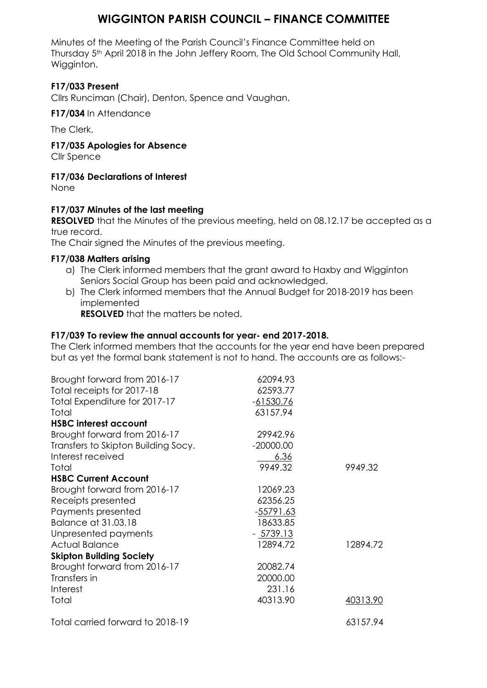# **WIGGINTON PARISH COUNCIL – FINANCE COMMITTEE**

Minutes of the Meeting of the Parish Council's Finance Committee held on Thursday 5<sup>th</sup> April 2018 in the John Jeffery Room, The Old School Community Hall, Wigginton.

## **F17/033 Present**

Cllrs Runciman (Chair), Denton, Spence and Vaughan.

**F17/034** In Attendance

The Clerk.

**F17/035 Apologies for Absence**

Cllr Spence

#### **F17/036 Declarations of Interest**

None

#### **F17/037 Minutes of the last meeting**

**RESOLVED** that the Minutes of the previous meeting, held on 08.12.17 be accepted as a true record.

The Chair signed the Minutes of the previous meeting.

#### **F17/038 Matters arising**

- a) The Clerk informed members that the grant award to Haxby and Wigginton Seniors Social Group has been paid and acknowledged.
- b) The Clerk informed members that the Annual Budget for 2018-2019 has been implemented

**RESOLVED** that the matters be noted.

#### **F17/039 To review the annual accounts for year- end 2017-2018.**

The Clerk informed members that the accounts for the year end have been prepared but as yet the formal bank statement is not to hand. The accounts are as follows:-

| Brought forward from 2016-17        | 62094.93    |          |
|-------------------------------------|-------------|----------|
| Total receipts for 2017-18          | 62593.77    |          |
| Total Expenditure for 2017-17       | $-61530.76$ |          |
| Total                               | 63157.94    |          |
| <b>HSBC interest account</b>        |             |          |
| Brought forward from 2016-17        | 29942.96    |          |
| Transfers to Skipton Building Socy. | $-20000.00$ |          |
| Interest received                   | <u>6.36</u> |          |
| Total                               | 9949.32     | 9949.32  |
| <b>HSBC Current Account</b>         |             |          |
| Brought forward from 2016-17        | 12069.23    |          |
| Receipts presented                  | 62356.25    |          |
| Payments presented                  | $-55791.63$ |          |
| Balance at 31.03.18                 | 18633.85    |          |
| Unpresented payments                | $-5739.13$  |          |
| <b>Actual Balance</b>               | 12894.72    | 12894.72 |
| <b>Skipton Building Society</b>     |             |          |
| Brought forward from 2016-17        | 20082.74    |          |
| Transfers in                        | 20000.00    |          |
| Interest                            | 231.16      |          |
| Total                               | 40313.90    | 40313.90 |
| Total carried forward to 2018-19    |             | 63157.94 |